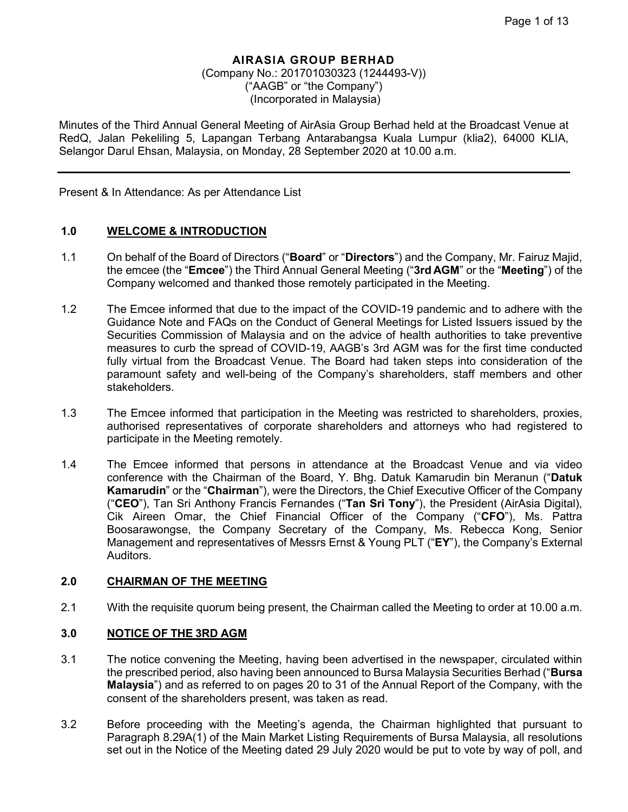(Company No.: 201701030323 (1244493-V)) ("AAGB" or "the Company") (Incorporated in Malaysia)

Minutes of the Third Annual General Meeting of AirAsia Group Berhad held at the Broadcast Venue at RedQ, Jalan Pekeliling 5, Lapangan Terbang Antarabangsa Kuala Lumpur (klia2), 64000 KLIA, Selangor Darul Ehsan, Malaysia, on Monday, 28 September 2020 at 10.00 a.m.

Present & In Attendance: As per Attendance List

## **1.0 WELCOME & INTRODUCTION**

- 1.1 On behalf of the Board of Directors ("**Board**" or "**Directors**") and the Company, Mr. Fairuz Majid, the emcee (the "**Emcee**") the Third Annual General Meeting ("**3rd AGM**" or the "**Meeting**") of the Company welcomed and thanked those remotely participated in the Meeting.
- 1.2 The Emcee informed that due to the impact of the COVID-19 pandemic and to adhere with the Guidance Note and FAQs on the Conduct of General Meetings for Listed Issuers issued by the Securities Commission of Malaysia and on the advice of health authorities to take preventive measures to curb the spread of COVID-19, AAGB's 3rd AGM was for the first time conducted fully virtual from the Broadcast Venue. The Board had taken steps into consideration of the paramount safety and well-being of the Company's shareholders, staff members and other stakeholders.
- 1.3 The Emcee informed that participation in the Meeting was restricted to shareholders, proxies, authorised representatives of corporate shareholders and attorneys who had registered to participate in the Meeting remotely.
- 1.4 The Emcee informed that persons in attendance at the Broadcast Venue and via video conference with the Chairman of the Board, Y. Bhg. Datuk Kamarudin bin Meranun ("**Datuk Kamarudin**" or the "**Chairman**"), were the Directors, the Chief Executive Officer of the Company ("**CEO**"), Tan Sri Anthony Francis Fernandes ("**Tan Sri Tony**"), the President (AirAsia Digital), Cik Aireen Omar, the Chief Financial Officer of the Company ("**CFO**"), Ms. Pattra Boosarawongse, the Company Secretary of the Company, Ms. Rebecca Kong, Senior Management and representatives of Messrs Ernst & Young PLT ("**EY**"), the Company's External Auditors.

## **2.0 CHAIRMAN OF THE MEETING**

2.1 With the requisite quorum being present, the Chairman called the Meeting to order at 10.00 a.m.

#### **3.0 NOTICE OF THE 3RD AGM**

- 3.1 The notice convening the Meeting, having been advertised in the newspaper, circulated within the prescribed period, also having been announced to Bursa Malaysia Securities Berhad ("**Bursa Malaysia**") and as referred to on pages 20 to 31 of the Annual Report of the Company, with the consent of the shareholders present, was taken as read.
- 3.2 Before proceeding with the Meeting's agenda, the Chairman highlighted that pursuant to Paragraph 8.29A(1) of the Main Market Listing Requirements of Bursa Malaysia, all resolutions set out in the Notice of the Meeting dated 29 July 2020 would be put to vote by way of poll, and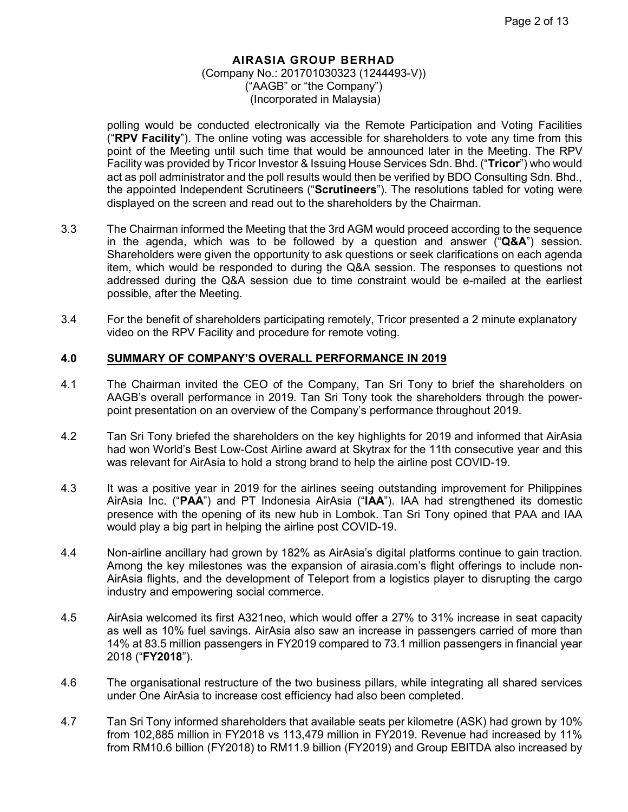polling would be conducted electronically via the Remote Participation and Voting Facilities ("**RPV Facility**"). The online voting was accessible for shareholders to vote any time from this point of the Meeting until such time that would be announced later in the Meeting. The RPV Facility was provided by Tricor Investor & Issuing House Services Sdn. Bhd. ("**Tricor**") who would act as poll administrator and the poll results would then be verified by BDO Consulting Sdn. Bhd., the appointed Independent Scrutineers ("**Scrutineers**"). The resolutions tabled for voting were displayed on the screen and read out to the shareholders by the Chairman.

- 3.3 The Chairman informed the Meeting that the 3rd AGM would proceed according to the sequence in the agenda, which was to be followed by a question and answer ("**Q&A**") session. Shareholders were given the opportunity to ask questions or seek clarifications on each agenda item, which would be responded to during the Q&A session. The responses to questions not addressed during the Q&A session due to time constraint would be e-mailed at the earliest possible, after the Meeting.
- 3.4 For the benefit of shareholders participating remotely, Tricor presented a 2 minute explanatory video on the RPV Facility and procedure for remote voting.

## **4.0 SUMMARY OF COMPANY'S OVERALL PERFORMANCE IN 2019**

- 4.1 The Chairman invited the CEO of the Company, Tan Sri Tony to brief the shareholders on AAGB's overall performance in 2019. Tan Sri Tony took the shareholders through the powerpoint presentation on an overview of the Company's performance throughout 2019.
- 4.2 Tan Sri Tony briefed the shareholders on the key highlights for 2019 and informed that AirAsia had won World's Best Low-Cost Airline award at Skytrax for the 11th consecutive year and this was relevant for AirAsia to hold a strong brand to help the airline post COVID-19.
- 4.3 It was a positive year in 2019 for the airlines seeing outstanding improvement for Philippines AirAsia Inc. ("**PAA**") and PT Indonesia AirAsia ("**IAA**"). IAA had strengthened its domestic presence with the opening of its new hub in Lombok. Tan Sri Tony opined that PAA and IAA would play a big part in helping the airline post COVID-19.
- 4.4 Non-airline ancillary had grown by 182% as AirAsia's digital platforms continue to gain traction. Among the key milestones was the expansion of airasia.com's flight offerings to include non-AirAsia flights, and the development of Teleport from a logistics player to disrupting the cargo industry and empowering social commerce.
- 4.5 AirAsia welcomed its first A321neo, which would offer a 27% to 31% increase in seat capacity as well as 10% fuel savings. AirAsia also saw an increase in passengers carried of more than 14% at 83.5 million passengers in FY2019 compared to 73.1 million passengers in financial year 2018 ("**FY2018**").
- 4.6 The organisational restructure of the two business pillars, while integrating all shared services under One AirAsia to increase cost efficiency had also been completed.
- 4.7 Tan Sri Tony informed shareholders that available seats per kilometre (ASK) had grown by 10% from 102,885 million in FY2018 vs 113,479 million in FY2019. Revenue had increased by 11% from RM10.6 billion (FY2018) to RM11.9 billion (FY2019) and Group EBITDA also increased by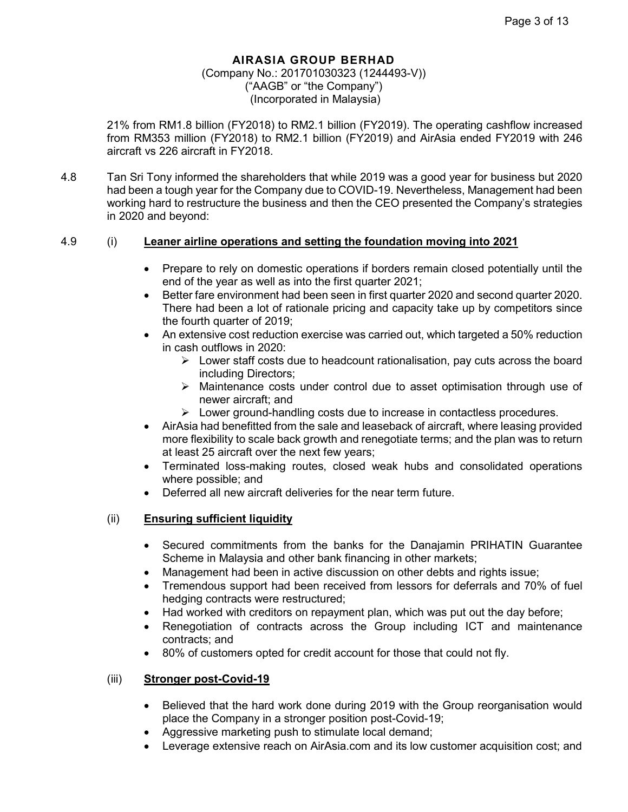## (Company No.: 201701030323 (1244493-V)) ("AAGB" or "the Company") (Incorporated in Malaysia)

21% from RM1.8 billion (FY2018) to RM2.1 billion (FY2019). The operating cashflow increased from RM353 million (FY2018) to RM2.1 billion (FY2019) and AirAsia ended FY2019 with 246 aircraft vs 226 aircraft in FY2018.

4.8 Tan Sri Tony informed the shareholders that while 2019 was a good year for business but 2020 had been a tough year for the Company due to COVID-19. Nevertheless, Management had been working hard to restructure the business and then the CEO presented the Company's strategies in 2020 and beyond:

## 4.9 (i) **Leaner airline operations and setting the foundation moving into 2021**

- Prepare to rely on domestic operations if borders remain closed potentially until the end of the year as well as into the first quarter 2021;
- Better fare environment had been seen in first quarter 2020 and second quarter 2020. There had been a lot of rationale pricing and capacity take up by competitors since the fourth quarter of 2019;
- An extensive cost reduction exercise was carried out, which targeted a 50% reduction in cash outflows in 2020:
	- $\triangleright$  Lower staff costs due to headcount rationalisation, pay cuts across the board including Directors;
	- $\triangleright$  Maintenance costs under control due to asset optimisation through use of newer aircraft; and
	- $\triangleright$  Lower ground-handling costs due to increase in contactless procedures.
- AirAsia had benefitted from the sale and leaseback of aircraft, where leasing provided more flexibility to scale back growth and renegotiate terms; and the plan was to return at least 25 aircraft over the next few years;
- Terminated loss-making routes, closed weak hubs and consolidated operations where possible; and
- Deferred all new aircraft deliveries for the near term future.

## (ii) **Ensuring sufficient liquidity**

- Secured commitments from the banks for the Danajamin PRIHATIN Guarantee Scheme in Malaysia and other bank financing in other markets;
- Management had been in active discussion on other debts and rights issue;
- Tremendous support had been received from lessors for deferrals and 70% of fuel hedging contracts were restructured;
- Had worked with creditors on repayment plan, which was put out the day before;
- Renegotiation of contracts across the Group including ICT and maintenance contracts; and
- 80% of customers opted for credit account for those that could not fly.

## (iii) **Stronger post-Covid-19**

- Believed that the hard work done during 2019 with the Group reorganisation would place the Company in a stronger position post-Covid-19;
- Aggressive marketing push to stimulate local demand;
- Leverage extensive reach on AirAsia.com and its low customer acquisition cost; and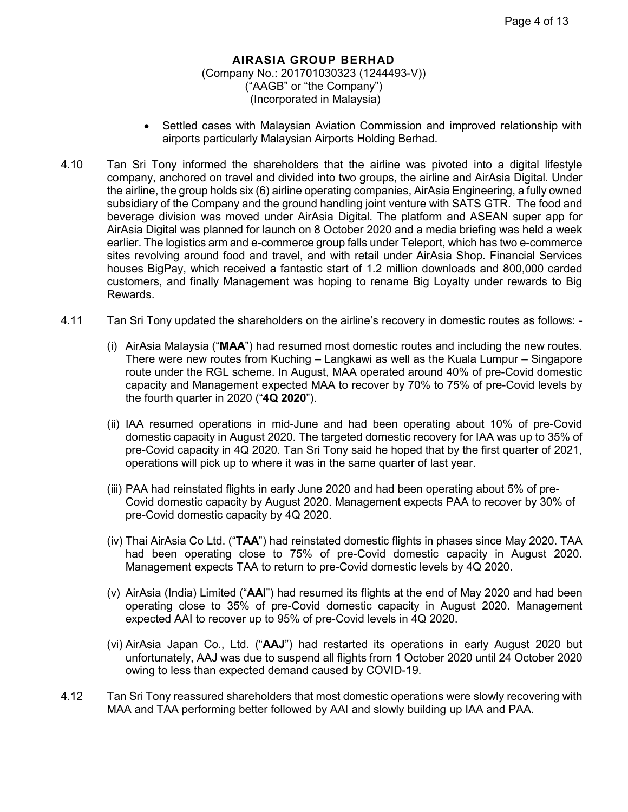- Settled cases with Malaysian Aviation Commission and improved relationship with airports particularly Malaysian Airports Holding Berhad.
- 4.10 Tan Sri Tony informed the shareholders that the airline was pivoted into a digital lifestyle company, anchored on travel and divided into two groups, the airline and AirAsia Digital. Under the airline, the group holds six (6) airline operating companies, AirAsia Engineering, a fully owned subsidiary of the Company and the ground handling joint venture with SATS GTR. The food and beverage division was moved under AirAsia Digital. The platform and ASEAN super app for AirAsia Digital was planned for launch on 8 October 2020 and a media briefing was held a week earlier. The logistics arm and e-commerce group falls under Teleport, which has two e-commerce sites revolving around food and travel, and with retail under AirAsia Shop. Financial Services houses BigPay, which received a fantastic start of 1.2 million downloads and 800,000 carded customers, and finally Management was hoping to rename Big Loyalty under rewards to Big Rewards.
- 4.11 Tan Sri Tony updated the shareholders on the airline's recovery in domestic routes as follows:
	- (i) AirAsia Malaysia ("**MAA**") had resumed most domestic routes and including the new routes. There were new routes from Kuching – Langkawi as well as the Kuala Lumpur – Singapore route under the RGL scheme. In August, MAA operated around 40% of pre-Covid domestic capacity and Management expected MAA to recover by 70% to 75% of pre-Covid levels by the fourth quarter in 2020 ("**4Q 2020**").
	- (ii) IAA resumed operations in mid-June and had been operating about 10% of pre-Covid domestic capacity in August 2020. The targeted domestic recovery for IAA was up to 35% of pre-Covid capacity in 4Q 2020. Tan Sri Tony said he hoped that by the first quarter of 2021, operations will pick up to where it was in the same quarter of last year.
	- (iii) PAA had reinstated flights in early June 2020 and had been operating about 5% of pre-Covid domestic capacity by August 2020. Management expects PAA to recover by 30% of pre-Covid domestic capacity by 4Q 2020.
	- (iv) Thai AirAsia Co Ltd. ("**TAA**") had reinstated domestic flights in phases since May 2020. TAA had been operating close to 75% of pre-Covid domestic capacity in August 2020. Management expects TAA to return to pre-Covid domestic levels by 4Q 2020.
	- (v) AirAsia (India) Limited ("**AAI**") had resumed its flights at the end of May 2020 and had been operating close to 35% of pre-Covid domestic capacity in August 2020. Management expected AAI to recover up to 95% of pre-Covid levels in 4Q 2020.
	- (vi) AirAsia Japan Co., Ltd. ("**AAJ**") had restarted its operations in early August 2020 but unfortunately, AAJ was due to suspend all flights from 1 October 2020 until 24 October 2020 owing to less than expected demand caused by COVID-19.
- 4.12 Tan Sri Tony reassured shareholders that most domestic operations were slowly recovering with MAA and TAA performing better followed by AAI and slowly building up IAA and PAA.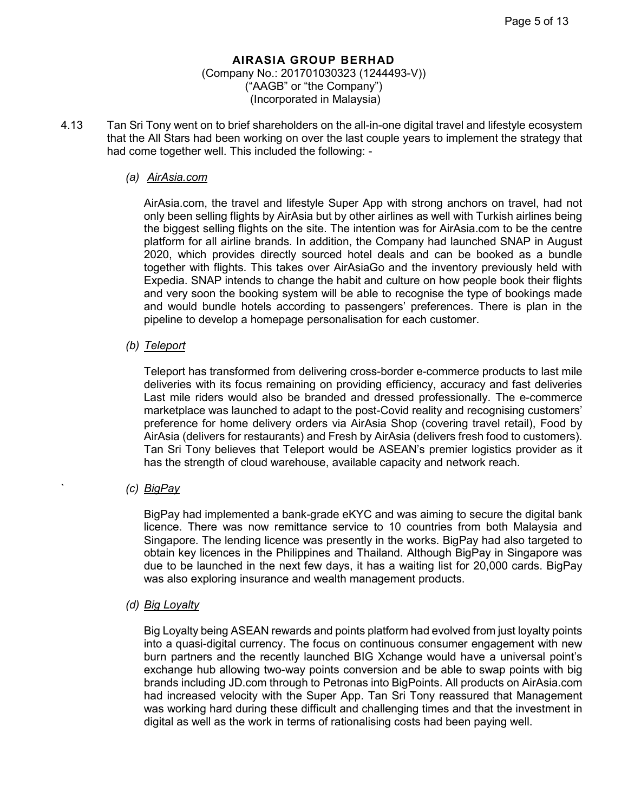## (Company No.: 201701030323 (1244493-V)) ("AAGB" or "the Company") (Incorporated in Malaysia)

4.13 Tan Sri Tony went on to brief shareholders on the all-in-one digital travel and lifestyle ecosystem that the All Stars had been working on over the last couple years to implement the strategy that had come together well. This included the following: -

## *(a) AirAsia.com*

AirAsia.com, the travel and lifestyle Super App with strong anchors on travel, had not only been selling flights by AirAsia but by other airlines as well with Turkish airlines being the biggest selling flights on the site. The intention was for AirAsia.com to be the centre platform for all airline brands. In addition, the Company had launched SNAP in August 2020, which provides directly sourced hotel deals and can be booked as a bundle together with flights. This takes over AirAsiaGo and the inventory previously held with Expedia. SNAP intends to change the habit and culture on how people book their flights and very soon the booking system will be able to recognise the type of bookings made and would bundle hotels according to passengers' preferences. There is plan in the pipeline to develop a homepage personalisation for each customer.

## *(b) Teleport*

Teleport has transformed from delivering cross-border e-commerce products to last mile deliveries with its focus remaining on providing efficiency, accuracy and fast deliveries Last mile riders would also be branded and dressed professionally. The e-commerce marketplace was launched to adapt to the post-Covid reality and recognising customers' preference for home delivery orders via AirAsia Shop (covering travel retail), Food by AirAsia (delivers for restaurants) and Fresh by AirAsia (delivers fresh food to customers). Tan Sri Tony believes that Teleport would be ASEAN's premier logistics provider as it has the strength of cloud warehouse, available capacity and network reach.

## ` *(c) BigPay*

BigPay had implemented a bank-grade eKYC and was aiming to secure the digital bank licence. There was now remittance service to 10 countries from both Malaysia and Singapore. The lending licence was presently in the works. BigPay had also targeted to obtain key licences in the Philippines and Thailand. Although BigPay in Singapore was due to be launched in the next few days, it has a waiting list for 20,000 cards. BigPay was also exploring insurance and wealth management products.

## *(d) Big Loyalty*

Big Loyalty being ASEAN rewards and points platform had evolved from just loyalty points into a quasi-digital currency. The focus on continuous consumer engagement with new burn partners and the recently launched BIG Xchange would have a universal point's exchange hub allowing two-way points conversion and be able to swap points with big brands including JD.com through to Petronas into BigPoints. All products on AirAsia.com had increased velocity with the Super App. Tan Sri Tony reassured that Management was working hard during these difficult and challenging times and that the investment in digital as well as the work in terms of rationalising costs had been paying well.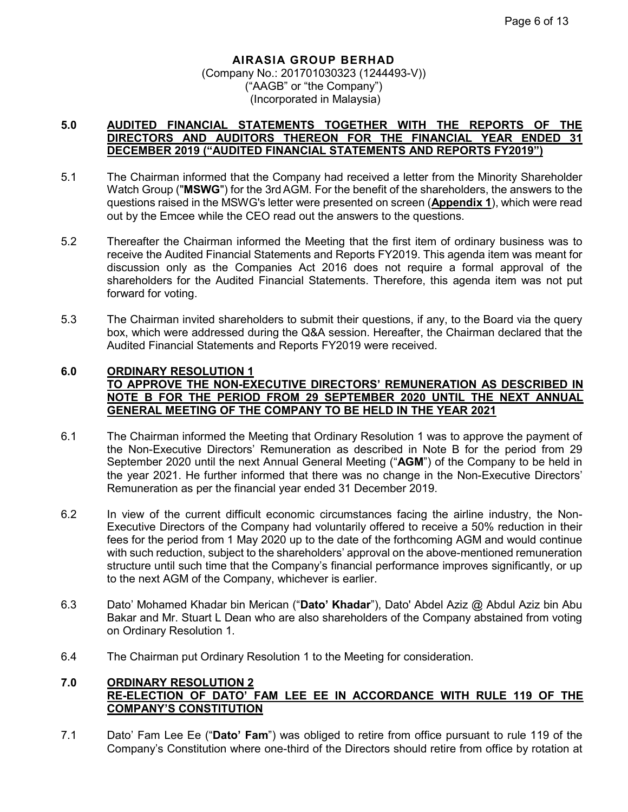## **5.0 AUDITED FINANCIAL STATEMENTS TOGETHER WITH THE REPORTS OF THE DIRECTORS AND AUDITORS THEREON FOR THE FINANCIAL YEAR ENDED 31 DECEMBER 2019 ("AUDITED FINANCIAL STATEMENTS AND REPORTS FY2019")**

- 5.1 The Chairman informed that the Company had received a letter from the Minority Shareholder Watch Group ("**MSWG**") for the 3rdAGM. For the benefit of the shareholders, the answers to the questions raised in the MSWG's letter were presented on screen (**Appendix 1**), which were read out by the Emcee while the CEO read out the answers to the questions.
- 5.2 Thereafter the Chairman informed the Meeting that the first item of ordinary business was to receive the Audited Financial Statements and Reports FY2019. This agenda item was meant for discussion only as the Companies Act 2016 does not require a formal approval of the shareholders for the Audited Financial Statements. Therefore, this agenda item was not put forward for voting.
- 5.3 The Chairman invited shareholders to submit their questions, if any, to the Board via the query box, which were addressed during the Q&A session. Hereafter, the Chairman declared that the Audited Financial Statements and Reports FY2019 were received.

## **6.0 ORDINARY RESOLUTION 1 TO APPROVE THE NON-EXECUTIVE DIRECTORS' REMUNERATION AS DESCRIBED IN NOTE B FOR THE PERIOD FROM 29 SEPTEMBER 2020 UNTIL THE NEXT ANNUAL GENERAL MEETING OF THE COMPANY TO BE HELD IN THE YEAR 2021**

- 6.1 The Chairman informed the Meeting that Ordinary Resolution 1 was to approve the payment of the Non-Executive Directors' Remuneration as described in Note B for the period from 29 September 2020 until the next Annual General Meeting ("**AGM**") of the Company to be held in the year 2021. He further informed that there was no change in the Non-Executive Directors' Remuneration as per the financial year ended 31 December 2019.
- 6.2 In view of the current difficult economic circumstances facing the airline industry, the Non-Executive Directors of the Company had voluntarily offered to receive a 50% reduction in their fees for the period from 1 May 2020 up to the date of the forthcoming AGM and would continue with such reduction, subject to the shareholders' approval on the above-mentioned remuneration structure until such time that the Company's financial performance improves significantly, or up to the next AGM of the Company, whichever is earlier.
- 6.3 Dato' Mohamed Khadar bin Merican ("**Dato' Khadar**"), Dato' Abdel Aziz @ Abdul Aziz bin Abu Bakar and Mr. Stuart L Dean who are also shareholders of the Company abstained from voting on Ordinary Resolution 1.
- 6.4 The Chairman put Ordinary Resolution 1 to the Meeting for consideration.

## **7.0 ORDINARY RESOLUTION 2 RE-ELECTION OF DATO' FAM LEE EE IN ACCORDANCE WITH RULE 119 OF THE COMPANY'S CONSTITUTION**

7.1 Dato' Fam Lee Ee ("**Dato' Fam**") was obliged to retire from office pursuant to rule 119 of the Company's Constitution where one-third of the Directors should retire from office by rotation at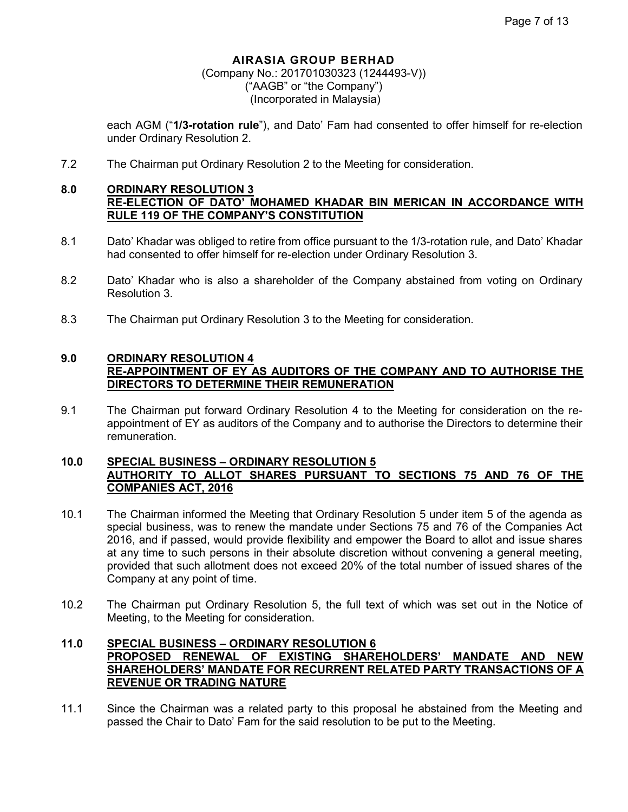## (Company No.: 201701030323 (1244493-V)) ("AAGB" or "the Company") (Incorporated in Malaysia)

each AGM ("**1/3-rotation rule**"), and Dato' Fam had consented to offer himself for re-election under Ordinary Resolution 2.

7.2 The Chairman put Ordinary Resolution 2 to the Meeting for consideration.

## **8.0 ORDINARY RESOLUTION 3 RE-ELECTION OF DATO' MOHAMED KHADAR BIN MERICAN IN ACCORDANCE WITH RULE 119 OF THE COMPANY'S CONSTITUTION**

- 8.1 Dato' Khadar was obliged to retire from office pursuant to the 1/3-rotation rule, and Dato' Khadar had consented to offer himself for re-election under Ordinary Resolution 3.
- 8.2 Dato' Khadar who is also a shareholder of the Company abstained from voting on Ordinary Resolution 3.
- 8.3 The Chairman put Ordinary Resolution 3 to the Meeting for consideration.

## **9.0 ORDINARY RESOLUTION 4 RE-APPOINTMENT OF EY AS AUDITORS OF THE COMPANY AND TO AUTHORISE THE DIRECTORS TO DETERMINE THEIR REMUNERATION**

9.1 The Chairman put forward Ordinary Resolution 4 to the Meeting for consideration on the reappointment of EY as auditors of the Company and to authorise the Directors to determine their remuneration.

## **10.0 SPECIAL BUSINESS – ORDINARY RESOLUTION 5 AUTHORITY TO ALLOT SHARES PURSUANT TO SECTIONS 75 AND 76 OF THE COMPANIES ACT, 2016**

- 10.1 The Chairman informed the Meeting that Ordinary Resolution 5 under item 5 of the agenda as special business, was to renew the mandate under Sections 75 and 76 of the Companies Act 2016, and if passed, would provide flexibility and empower the Board to allot and issue shares at any time to such persons in their absolute discretion without convening a general meeting, provided that such allotment does not exceed 20% of the total number of issued shares of the Company at any point of time.
- 10.2 The Chairman put Ordinary Resolution 5, the full text of which was set out in the Notice of Meeting, to the Meeting for consideration.

## **11.0 SPECIAL BUSINESS – ORDINARY RESOLUTION 6 PROPOSED RENEWAL OF EXISTING SHAREHOLDERS' MANDATE AND NEW SHAREHOLDERS' MANDATE FOR RECURRENT RELATED PARTY TRANSACTIONS OF A REVENUE OR TRADING NATURE**

11.1 Since the Chairman was a related party to this proposal he abstained from the Meeting and passed the Chair to Dato' Fam for the said resolution to be put to the Meeting.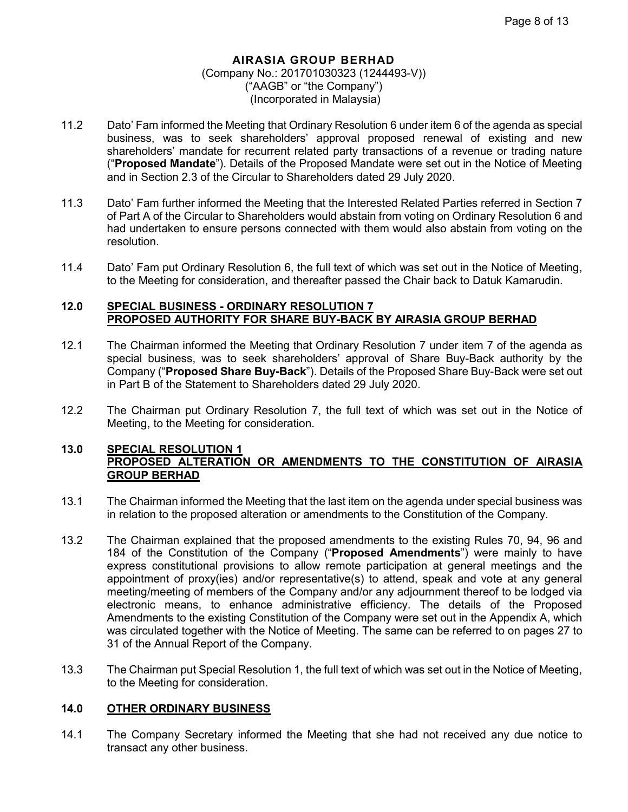- 11.2 Dato' Fam informed the Meeting that Ordinary Resolution 6 under item 6 of the agenda as special business, was to seek shareholders' approval proposed renewal of existing and new shareholders' mandate for recurrent related party transactions of a revenue or trading nature ("**Proposed Mandate**"). Details of the Proposed Mandate were set out in the Notice of Meeting and in Section 2.3 of the Circular to Shareholders dated 29 July 2020.
- 11.3 Dato' Fam further informed the Meeting that the Interested Related Parties referred in Section 7 of Part A of the Circular to Shareholders would abstain from voting on Ordinary Resolution 6 and had undertaken to ensure persons connected with them would also abstain from voting on the resolution.
- 11.4 Dato' Fam put Ordinary Resolution 6, the full text of which was set out in the Notice of Meeting, to the Meeting for consideration, and thereafter passed the Chair back to Datuk Kamarudin.

## **12.0 SPECIAL BUSINESS - ORDINARY RESOLUTION 7 PROPOSED AUTHORITY FOR SHARE BUY-BACK BY AIRASIA GROUP BERHAD**

- 12.1 The Chairman informed the Meeting that Ordinary Resolution 7 under item 7 of the agenda as special business, was to seek shareholders' approval of Share Buy-Back authority by the Company ("**Proposed Share Buy-Back**"). Details of the Proposed Share Buy-Back were set out in Part B of the Statement to Shareholders dated 29 July 2020.
- 12.2 The Chairman put Ordinary Resolution 7, the full text of which was set out in the Notice of Meeting, to the Meeting for consideration.

## **13.0 SPECIAL RESOLUTION 1 PROPOSED ALTERATION OR AMENDMENTS TO THE CONSTITUTION OF AIRASIA GROUP BERHAD**

- 13.1 The Chairman informed the Meeting that the last item on the agenda under special business was in relation to the proposed alteration or amendments to the Constitution of the Company.
- 13.2 The Chairman explained that the proposed amendments to the existing Rules 70, 94, 96 and 184 of the Constitution of the Company ("**Proposed Amendments**") were mainly to have express constitutional provisions to allow remote participation at general meetings and the appointment of proxy(ies) and/or representative(s) to attend, speak and vote at any general meeting/meeting of members of the Company and/or any adjournment thereof to be lodged via electronic means, to enhance administrative efficiency. The details of the Proposed Amendments to the existing Constitution of the Company were set out in the Appendix A, which was circulated together with the Notice of Meeting. The same can be referred to on pages 27 to 31 of the Annual Report of the Company.
- 13.3 The Chairman put Special Resolution 1, the full text of which was set out in the Notice of Meeting, to the Meeting for consideration.

#### **14.0 OTHER ORDINARY BUSINESS**

14.1 The Company Secretary informed the Meeting that she had not received any due notice to transact any other business.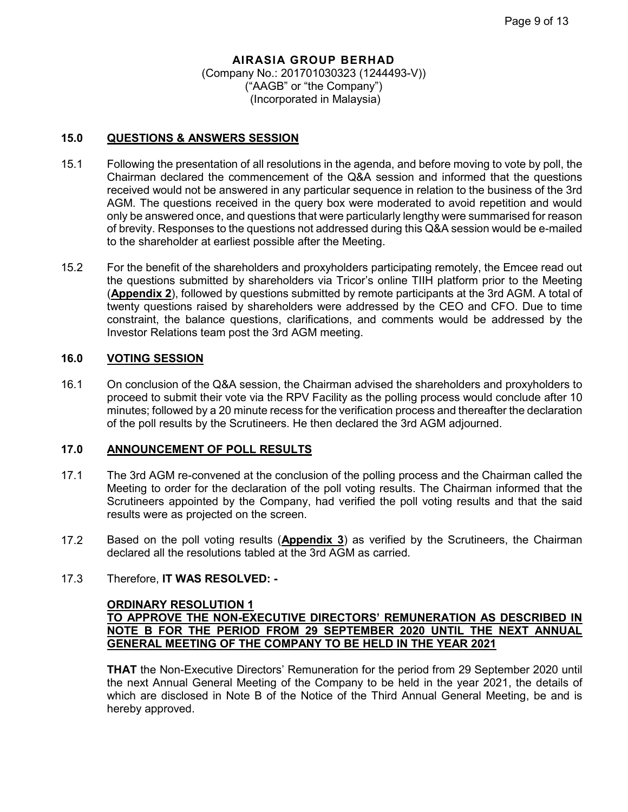## **15.0 QUESTIONS & ANSWERS SESSION**

- 15.1 Following the presentation of all resolutions in the agenda, and before moving to vote by poll, the Chairman declared the commencement of the Q&A session and informed that the questions received would not be answered in any particular sequence in relation to the business of the 3rd AGM. The questions received in the query box were moderated to avoid repetition and would only be answered once, and questions that were particularly lengthy were summarised for reason of brevity. Responses to the questions not addressed during this Q&A session would be e-mailed to the shareholder at earliest possible after the Meeting.
- 15.2 For the benefit of the shareholders and proxyholders participating remotely, the Emcee read out the questions submitted by shareholders via Tricor's online TIIH platform prior to the Meeting (**Appendix 2**), followed by questions submitted by remote participants at the 3rd AGM. A total of twenty questions raised by shareholders were addressed by the CEO and CFO. Due to time constraint, the balance questions, clarifications, and comments would be addressed by the Investor Relations team post the 3rd AGM meeting.

## **16.0 VOTING SESSION**

16.1 On conclusion of the Q&A session, the Chairman advised the shareholders and proxyholders to proceed to submit their vote via the RPV Facility as the polling process would conclude after 10 minutes; followed by a 20 minute recess for the verification process and thereafter the declaration of the poll results by the Scrutineers. He then declared the 3rd AGM adjourned.

## **17.0 ANNOUNCEMENT OF POLL RESULTS**

- 17.1 The 3rd AGM re-convened at the conclusion of the polling process and the Chairman called the Meeting to order for the declaration of the poll voting results. The Chairman informed that the Scrutineers appointed by the Company, had verified the poll voting results and that the said results were as projected on the screen.
- 17.2 Based on the poll voting results (**Appendix 3**) as verified by the Scrutineers, the Chairman declared all the resolutions tabled at the 3rd AGM as carried.

## 17.3 Therefore, **IT WAS RESOLVED: -**

## **ORDINARY RESOLUTION 1 TO APPROVE THE NON-EXECUTIVE DIRECTORS' REMUNERATION AS DESCRIBED IN NOTE B FOR THE PERIOD FROM 29 SEPTEMBER 2020 UNTIL THE NEXT ANNUAL GENERAL MEETING OF THE COMPANY TO BE HELD IN THE YEAR 2021**

**THAT** the Non-Executive Directors' Remuneration for the period from 29 September 2020 until the next Annual General Meeting of the Company to be held in the year 2021, the details of which are disclosed in Note B of the Notice of the Third Annual General Meeting, be and is hereby approved.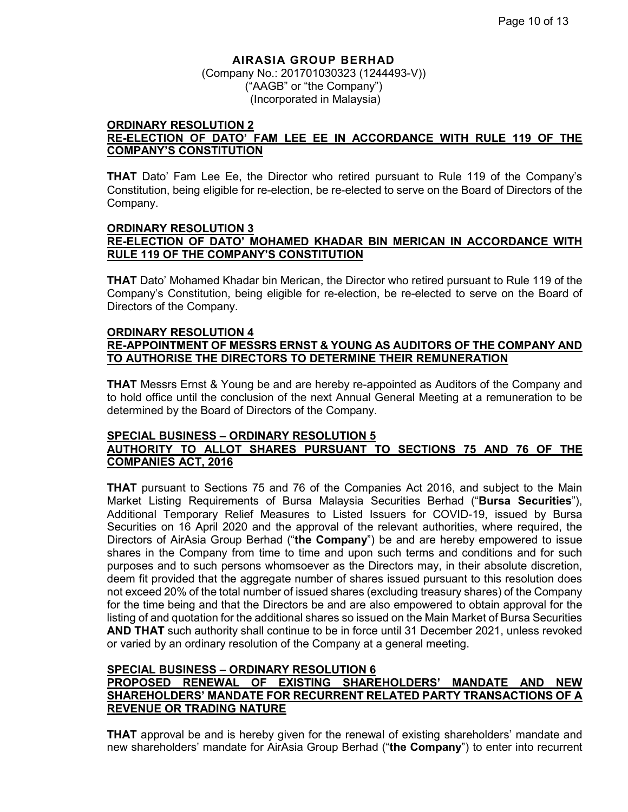(Company No.: 201701030323 (1244493-V)) ("AAGB" or "the Company") (Incorporated in Malaysia)

#### **ORDINARY RESOLUTION 2 RE-ELECTION OF DATO' FAM LEE EE IN ACCORDANCE WITH RULE 119 OF THE COMPANY'S CONSTITUTION**

**THAT** Dato' Fam Lee Ee, the Director who retired pursuant to Rule 119 of the Company's Constitution, being eligible for re-election, be re-elected to serve on the Board of Directors of the Company.

#### **ORDINARY RESOLUTION 3 RE-ELECTION OF DATO' MOHAMED KHADAR BIN MERICAN IN ACCORDANCE WITH RULE 119 OF THE COMPANY'S CONSTITUTION**

**THAT** Dato' Mohamed Khadar bin Merican, the Director who retired pursuant to Rule 119 of the Company's Constitution, being eligible for re-election, be re-elected to serve on the Board of Directors of the Company.

#### **ORDINARY RESOLUTION 4 RE-APPOINTMENT OF MESSRS ERNST & YOUNG AS AUDITORS OF THE COMPANY AND TO AUTHORISE THE DIRECTORS TO DETERMINE THEIR REMUNERATION**

**THAT** Messrs Ernst & Young be and are hereby re-appointed as Auditors of the Company and to hold office until the conclusion of the next Annual General Meeting at a remuneration to be determined by the Board of Directors of the Company.

## **SPECIAL BUSINESS – ORDINARY RESOLUTION 5**

## **AUTHORITY TO ALLOT SHARES PURSUANT TO SECTIONS 75 AND 76 OF THE COMPANIES ACT, 2016**

**THAT** pursuant to Sections 75 and 76 of the Companies Act 2016, and subject to the Main Market Listing Requirements of Bursa Malaysia Securities Berhad ("**Bursa Securities**"), Additional Temporary Relief Measures to Listed Issuers for COVID-19, issued by Bursa Securities on 16 April 2020 and the approval of the relevant authorities, where required, the Directors of AirAsia Group Berhad ("**the Company**") be and are hereby empowered to issue shares in the Company from time to time and upon such terms and conditions and for such purposes and to such persons whomsoever as the Directors may, in their absolute discretion, deem fit provided that the aggregate number of shares issued pursuant to this resolution does not exceed 20% of the total number of issued shares (excluding treasury shares) of the Company for the time being and that the Directors be and are also empowered to obtain approval for the listing of and quotation for the additional shares so issued on the Main Market of Bursa Securities **AND THAT** such authority shall continue to be in force until 31 December 2021, unless revoked or varied by an ordinary resolution of the Company at a general meeting.

## **SPECIAL BUSINESS – ORDINARY RESOLUTION 6**

## **PROPOSED RENEWAL OF EXISTING SHAREHOLDERS' MANDATE AND NEW SHAREHOLDERS' MANDATE FOR RECURRENT RELATED PARTY TRANSACTIONS OF A REVENUE OR TRADING NATURE**

**THAT** approval be and is hereby given for the renewal of existing shareholders' mandate and new shareholders' mandate for AirAsia Group Berhad ("**the Company**") to enter into recurrent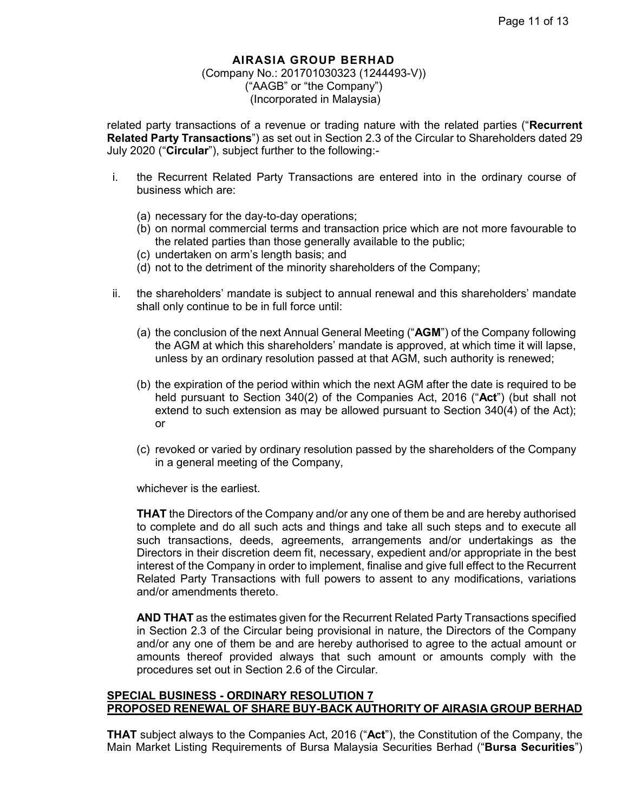## (Company No.: 201701030323 (1244493-V)) ("AAGB" or "the Company") (Incorporated in Malaysia)

related party transactions of a revenue or trading nature with the related parties ("**Recurrent Related Party Transactions**") as set out in Section 2.3 of the Circular to Shareholders dated 29 July 2020 ("**Circular**"), subject further to the following:-

- i. the Recurrent Related Party Transactions are entered into in the ordinary course of business which are:
	- (a) necessary for the day-to-day operations;
	- (b) on normal commercial terms and transaction price which are not more favourable to the related parties than those generally available to the public;
	- (c) undertaken on arm's length basis; and
	- (d) not to the detriment of the minority shareholders of the Company;
- ii. the shareholders' mandate is subject to annual renewal and this shareholders' mandate shall only continue to be in full force until:
	- (a) the conclusion of the next Annual General Meeting ("**AGM**") of the Company following the AGM at which this shareholders' mandate is approved, at which time it will lapse, unless by an ordinary resolution passed at that AGM, such authority is renewed;
	- (b) the expiration of the period within which the next AGM after the date is required to be held pursuant to Section 340(2) of the Companies Act, 2016 ("**Act**") (but shall not extend to such extension as may be allowed pursuant to Section 340(4) of the Act); or
	- (c) revoked or varied by ordinary resolution passed by the shareholders of the Company in a general meeting of the Company,

whichever is the earliest.

**THAT** the Directors of the Company and/or any one of them be and are hereby authorised to complete and do all such acts and things and take all such steps and to execute all such transactions, deeds, agreements, arrangements and/or undertakings as the Directors in their discretion deem fit, necessary, expedient and/or appropriate in the best interest of the Company in order to implement, finalise and give full effect to the Recurrent Related Party Transactions with full powers to assent to any modifications, variations and/or amendments thereto.

**AND THAT** as the estimates given for the Recurrent Related Party Transactions specified in Section 2.3 of the Circular being provisional in nature, the Directors of the Company and/or any one of them be and are hereby authorised to agree to the actual amount or amounts thereof provided always that such amount or amounts comply with the procedures set out in Section 2.6 of the Circular.

## **SPECIAL BUSINESS - ORDINARY RESOLUTION 7 PROPOSED RENEWAL OF SHARE BUY-BACK AUTHORITY OF AIRASIA GROUP BERHAD**

**THAT** subject always to the Companies Act, 2016 ("**Act**"), the Constitution of the Company, the Main Market Listing Requirements of Bursa Malaysia Securities Berhad ("**Bursa Securities**")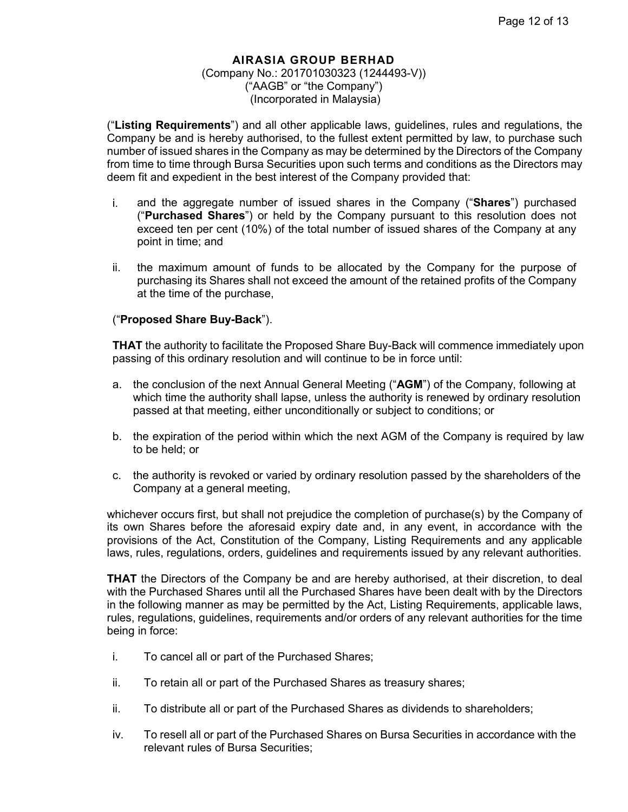("**Listing Requirements**") and all other applicable laws, guidelines, rules and regulations, the Company be and is hereby authorised, to the fullest extent permitted by law, to purchase such number of issued shares in the Company as may be determined by the Directors of the Company from time to time through Bursa Securities upon such terms and conditions as the Directors may deem fit and expedient in the best interest of the Company provided that:

- i. and the aggregate number of issued shares in the Company ("**Shares**") purchased ("**Purchased Shares**") or held by the Company pursuant to this resolution does not exceed ten per cent (10%) of the total number of issued shares of the Company at any point in time; and
- ii. the maximum amount of funds to be allocated by the Company for the purpose of purchasing its Shares shall not exceed the amount of the retained profits of the Company at the time of the purchase,

## ("**Proposed Share Buy-Back**").

**THAT** the authority to facilitate the Proposed Share Buy-Back will commence immediately upon passing of this ordinary resolution and will continue to be in force until:

- a. the conclusion of the next Annual General Meeting ("**AGM**") of the Company, following at which time the authority shall lapse, unless the authority is renewed by ordinary resolution passed at that meeting, either unconditionally or subject to conditions; or
- b. the expiration of the period within which the next AGM of the Company is required by law to be held; or
- c. the authority is revoked or varied by ordinary resolution passed by the shareholders of the Company at a general meeting,

whichever occurs first, but shall not prejudice the completion of purchase(s) by the Company of its own Shares before the aforesaid expiry date and, in any event, in accordance with the provisions of the Act, Constitution of the Company, Listing Requirements and any applicable laws, rules, regulations, orders, guidelines and requirements issued by any relevant authorities.

**THAT** the Directors of the Company be and are hereby authorised, at their discretion, to deal with the Purchased Shares until all the Purchased Shares have been dealt with by the Directors in the following manner as may be permitted by the Act, Listing Requirements, applicable laws, rules, regulations, guidelines, requirements and/or orders of any relevant authorities for the time being in force:

- i. To cancel all or part of the Purchased Shares;
- ii. To retain all or part of the Purchased Shares as treasury shares;
- ii. To distribute all or part of the Purchased Shares as dividends to shareholders;
- iv. To resell all or part of the Purchased Shares on Bursa Securities in accordance with the relevant rules of Bursa Securities;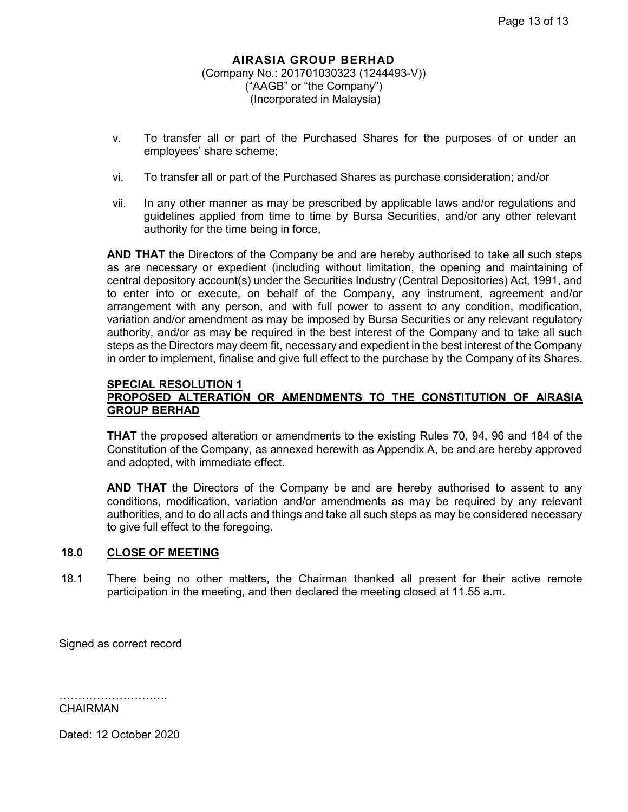- v. To transfer all or part of the Purchased Shares for the purposes of or under an employees' share scheme;
- vi. To transfer all or part of the Purchased Shares as purchase consideration; and/or
- vii. In any other manner as may be prescribed by applicable laws and/or regulations and guidelines applied from time to time by Bursa Securities, and/or any other relevant authority for the time being in force,

**AND THAT** the Directors of the Company be and are hereby authorised to take all such steps as are necessary or expedient (including without limitation, the opening and maintaining of central depository account(s) under the Securities Industry (Central Depositories) Act, 1991, and to enter into or execute, on behalf of the Company, any instrument, agreement and/or arrangement with any person, and with full power to assent to any condition, modification, variation and/or amendment as may be imposed by Bursa Securities or any relevant regulatory authority, and/or as may be required in the best interest of the Company and to take all such steps as the Directors may deem fit, necessary and expedient in the best interest of the Company in order to implement, finalise and give full effect to the purchase by the Company of its Shares.

#### **SPECIAL RESOLUTION 1**

## **PROPOSED ALTERATION OR AMENDMENTS TO THE CONSTITUTION OF AIRASIA GROUP BERHAD**

**THAT** the proposed alteration or amendments to the existing Rules 70, 94, 96 and 184 of the Constitution of the Company, as annexed herewith as Appendix A, be and are hereby approved and adopted, with immediate effect.

**AND THAT** the Directors of the Company be and are hereby authorised to assent to any conditions, modification, variation and/or amendments as may be required by any relevant authorities, and to do all acts and things and take all such steps as may be considered necessary to give full effect to the foregoing.

## **18.0 CLOSE OF MEETING**

18.1 There being no other matters, the Chairman thanked all present for their active remote participation in the meeting, and then declared the meeting closed at 11.55 a.m.

Signed as correct record

………………………………… CHAIRMAN

Dated: 12 October 2020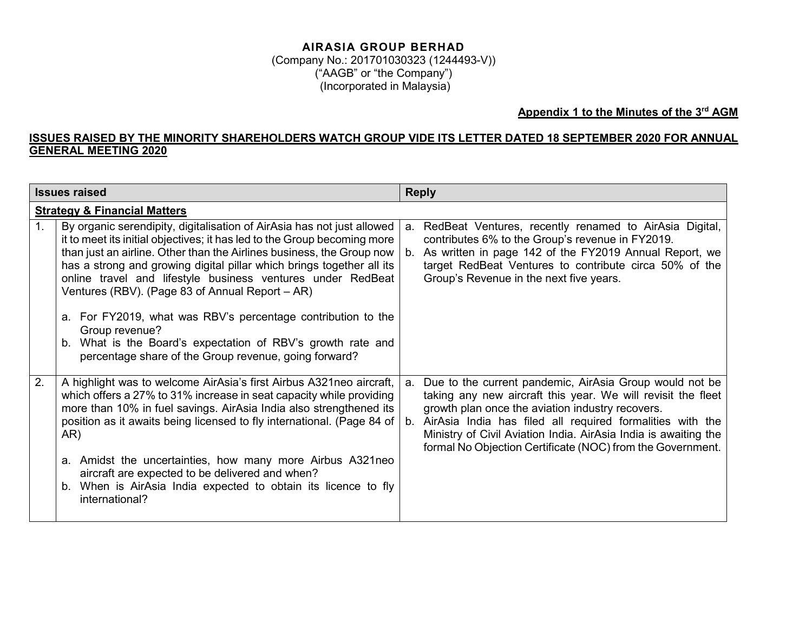(Company No.: 201701030323 (1244493-V)) ("AAGB" or "the Company") (Incorporated in Malaysia)

## **Appendix 1 to the Minutes of the 3rd AGM**

## **ISSUES RAISED BY THE MINORITY SHAREHOLDERS WATCH GROUP VIDE ITS LETTER DATED 18 SEPTEMBER 2020 FOR ANNUAL GENERAL MEETING 2020**

| <b>Issues raised</b> |                                                                                                                                                                                                                                                                                                                                                                                                                                                                                                                                                                                                                                  | <b>Reply</b> |                                                                                                                                                                                                                                                                                                                                                                              |  |
|----------------------|----------------------------------------------------------------------------------------------------------------------------------------------------------------------------------------------------------------------------------------------------------------------------------------------------------------------------------------------------------------------------------------------------------------------------------------------------------------------------------------------------------------------------------------------------------------------------------------------------------------------------------|--------------|------------------------------------------------------------------------------------------------------------------------------------------------------------------------------------------------------------------------------------------------------------------------------------------------------------------------------------------------------------------------------|--|
|                      | <b>Strategy &amp; Financial Matters</b>                                                                                                                                                                                                                                                                                                                                                                                                                                                                                                                                                                                          |              |                                                                                                                                                                                                                                                                                                                                                                              |  |
|                      | By organic serendipity, digitalisation of AirAsia has not just allowed<br>it to meet its initial objectives; it has led to the Group becoming more<br>than just an airline. Other than the Airlines business, the Group now<br>has a strong and growing digital pillar which brings together all its<br>online travel and lifestyle business ventures under RedBeat<br>Ventures (RBV). (Page 83 of Annual Report - AR)<br>a. For FY2019, what was RBV's percentage contribution to the<br>Group revenue?<br>b. What is the Board's expectation of RBV's growth rate and<br>percentage share of the Group revenue, going forward? | b.           | a. RedBeat Ventures, recently renamed to AirAsia Digital,<br>contributes 6% to the Group's revenue in FY2019.<br>As written in page 142 of the FY2019 Annual Report, we<br>target RedBeat Ventures to contribute circa 50% of the<br>Group's Revenue in the next five years.                                                                                                 |  |
| 2.                   | A highlight was to welcome AirAsia's first Airbus A321neo aircraft,<br>which offers a 27% to 31% increase in seat capacity while providing<br>more than 10% in fuel savings. AirAsia India also strengthened its<br>position as it awaits being licensed to fly international. (Page 84 of<br>AR)<br>a. Amidst the uncertainties, how many more Airbus A321 neo<br>aircraft are expected to be delivered and when?<br>b. When is AirAsia India expected to obtain its licence to fly<br>international?                                                                                                                           | a.           | Due to the current pandemic, AirAsia Group would not be<br>taking any new aircraft this year. We will revisit the fleet<br>growth plan once the aviation industry recovers.<br>b. AirAsia India has filed all required formalities with the<br>Ministry of Civil Aviation India. AirAsia India is awaiting the<br>formal No Objection Certificate (NOC) from the Government. |  |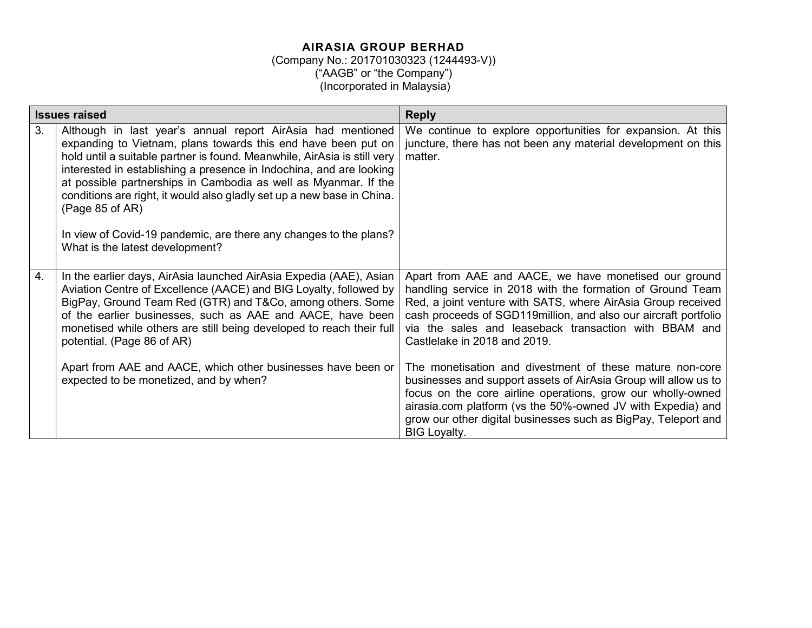| <b>Issues raised</b> |                                                                                                                                                                                                                                                                                                                                                                                                                                                                                                                                                         | <b>Reply</b>                                                                                                                                                                                                                                                                                                                                                                                                                                                                                                                                                                                                 |  |  |
|----------------------|---------------------------------------------------------------------------------------------------------------------------------------------------------------------------------------------------------------------------------------------------------------------------------------------------------------------------------------------------------------------------------------------------------------------------------------------------------------------------------------------------------------------------------------------------------|--------------------------------------------------------------------------------------------------------------------------------------------------------------------------------------------------------------------------------------------------------------------------------------------------------------------------------------------------------------------------------------------------------------------------------------------------------------------------------------------------------------------------------------------------------------------------------------------------------------|--|--|
| 3.                   | Although in last year's annual report AirAsia had mentioned<br>expanding to Vietnam, plans towards this end have been put on<br>hold until a suitable partner is found. Meanwhile, AirAsia is still very<br>interested in establishing a presence in Indochina, and are looking<br>at possible partnerships in Cambodia as well as Myanmar. If the<br>conditions are right, it would also gladly set up a new base in China.<br>(Page 85 of AR)<br>In view of Covid-19 pandemic, are there any changes to the plans?<br>What is the latest development? | We continue to explore opportunities for expansion. At this<br>juncture, there has not been any material development on this<br>matter.                                                                                                                                                                                                                                                                                                                                                                                                                                                                      |  |  |
| 4.                   | In the earlier days, AirAsia launched AirAsia Expedia (AAE), Asian<br>Aviation Centre of Excellence (AACE) and BIG Loyalty, followed by<br>BigPay, Ground Team Red (GTR) and T&Co, among others. Some<br>of the earlier businesses, such as AAE and AACE, have been<br>monetised while others are still being developed to reach their full<br>potential. (Page 86 of AR)<br>Apart from AAE and AACE, which other businesses have been or<br>expected to be monetized, and by when?                                                                     | Apart from AAE and AACE, we have monetised our ground<br>handling service in 2018 with the formation of Ground Team<br>Red, a joint venture with SATS, where AirAsia Group received<br>cash proceeds of SGD119million, and also our aircraft portfolio<br>via the sales and leaseback transaction with BBAM and<br>Castlelake in 2018 and 2019.<br>The monetisation and divestment of these mature non-core<br>businesses and support assets of AirAsia Group will allow us to<br>focus on the core airline operations, grow our wholly-owned<br>airasia.com platform (vs the 50%-owned JV with Expedia) and |  |  |
|                      |                                                                                                                                                                                                                                                                                                                                                                                                                                                                                                                                                         | grow our other digital businesses such as BigPay, Teleport and<br><b>BIG Loyalty.</b>                                                                                                                                                                                                                                                                                                                                                                                                                                                                                                                        |  |  |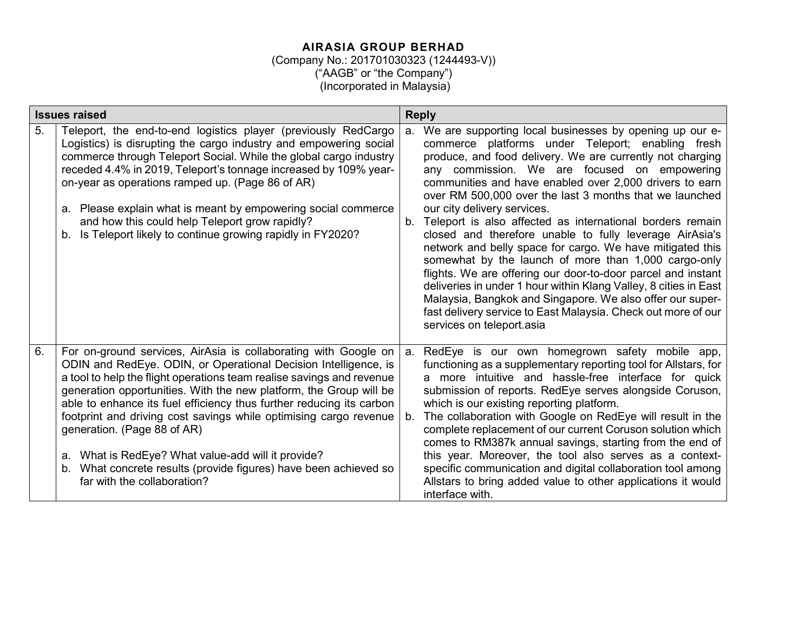## (Company No.: 201701030323 (1244493-V)) ("AAGB" or "the Company")

(Incorporated in Malaysia)

| <b>Issues raised</b> |                                                                                                                                                                                                                                                                                                                                                                                                                                                                                                                                                                                                                        | <b>Reply</b>                                                                                                                                                                                                                                                                                                                                                                                                                                                                                                                                                                                                                                                                                                                                                                                                                                                                                                                                |  |  |
|----------------------|------------------------------------------------------------------------------------------------------------------------------------------------------------------------------------------------------------------------------------------------------------------------------------------------------------------------------------------------------------------------------------------------------------------------------------------------------------------------------------------------------------------------------------------------------------------------------------------------------------------------|---------------------------------------------------------------------------------------------------------------------------------------------------------------------------------------------------------------------------------------------------------------------------------------------------------------------------------------------------------------------------------------------------------------------------------------------------------------------------------------------------------------------------------------------------------------------------------------------------------------------------------------------------------------------------------------------------------------------------------------------------------------------------------------------------------------------------------------------------------------------------------------------------------------------------------------------|--|--|
| 5.                   | Teleport, the end-to-end logistics player (previously RedCargo<br>Logistics) is disrupting the cargo industry and empowering social<br>commerce through Teleport Social. While the global cargo industry<br>receded 4.4% in 2019, Teleport's tonnage increased by 109% year-<br>on-year as operations ramped up. (Page 86 of AR)<br>a. Please explain what is meant by empowering social commerce<br>and how this could help Teleport grow rapidly?<br>Is Teleport likely to continue growing rapidly in FY2020?<br>b.                                                                                                 | We are supporting local businesses by opening up our e-<br>a.<br>commerce platforms under Teleport; enabling fresh<br>produce, and food delivery. We are currently not charging<br>any commission. We are focused on empowering<br>communities and have enabled over 2,000 drivers to earn<br>over RM 500,000 over the last 3 months that we launched<br>our city delivery services.<br>Teleport is also affected as international borders remain<br>$b_{-}$<br>closed and therefore unable to fully leverage AirAsia's<br>network and belly space for cargo. We have mitigated this<br>somewhat by the launch of more than 1,000 cargo-only<br>flights. We are offering our door-to-door parcel and instant<br>deliveries in under 1 hour within Klang Valley, 8 cities in East<br>Malaysia, Bangkok and Singapore. We also offer our super-<br>fast delivery service to East Malaysia. Check out more of our<br>services on teleport.asia |  |  |
| 6.                   | For on-ground services, AirAsia is collaborating with Google on<br>ODIN and RedEye. ODIN, or Operational Decision Intelligence, is<br>a tool to help the flight operations team realise savings and revenue<br>generation opportunities. With the new platform, the Group will be<br>able to enhance its fuel efficiency thus further reducing its carbon<br>footprint and driving cost savings while optimising cargo revenue<br>generation. (Page 88 of AR)<br>a. What is RedEye? What value-add will it provide?<br>b. What concrete results (provide figures) have been achieved so<br>far with the collaboration? | a. RedEye is our own homegrown safety mobile app,<br>functioning as a supplementary reporting tool for Allstars, for<br>a more intuitive and hassle-free interface for quick<br>submission of reports. RedEye serves alongside Coruson,<br>which is our existing reporting platform.<br>The collaboration with Google on RedEye will result in the<br>$b_{-}$<br>complete replacement of our current Coruson solution which<br>comes to RM387k annual savings, starting from the end of<br>this year. Moreover, the tool also serves as a context-<br>specific communication and digital collaboration tool among<br>Allstars to bring added value to other applications it would<br>interface with.                                                                                                                                                                                                                                        |  |  |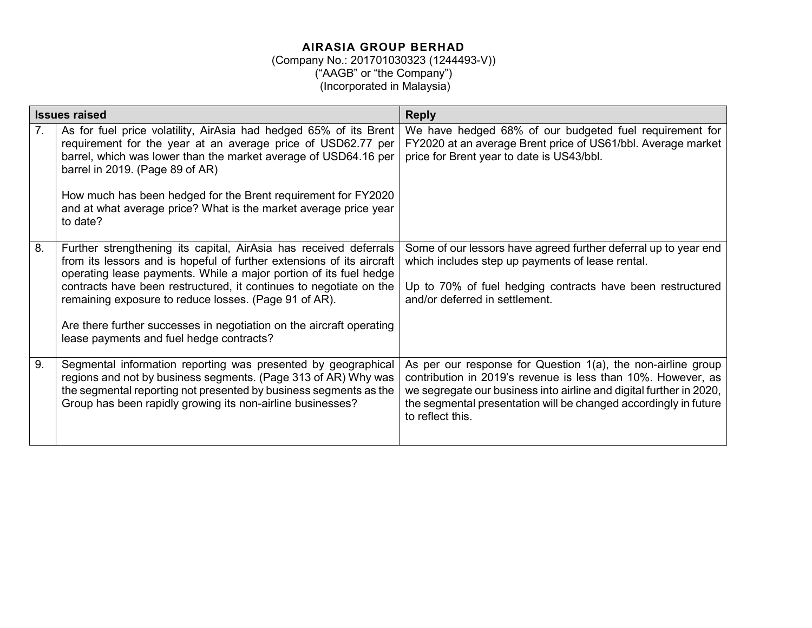| <b>Issues raised</b> |                                                                                                                                                                                                                                                                                                                                                                                                                                                                    | <b>Reply</b>                                                                                                                                                                                                                                                                                |  |  |
|----------------------|--------------------------------------------------------------------------------------------------------------------------------------------------------------------------------------------------------------------------------------------------------------------------------------------------------------------------------------------------------------------------------------------------------------------------------------------------------------------|---------------------------------------------------------------------------------------------------------------------------------------------------------------------------------------------------------------------------------------------------------------------------------------------|--|--|
| 7.                   | As for fuel price volatility, AirAsia had hedged 65% of its Brent<br>requirement for the year at an average price of USD62.77 per<br>barrel, which was lower than the market average of USD64.16 per<br>barrel in 2019. (Page 89 of AR)<br>How much has been hedged for the Brent requirement for FY2020<br>and at what average price? What is the market average price year<br>to date?                                                                           | We have hedged 68% of our budgeted fuel requirement for<br>FY2020 at an average Brent price of US61/bbl. Average market<br>price for Brent year to date is US43/bbl.                                                                                                                        |  |  |
| 8.                   | Further strengthening its capital, AirAsia has received deferrals<br>from its lessors and is hopeful of further extensions of its aircraft<br>operating lease payments. While a major portion of its fuel hedge<br>contracts have been restructured, it continues to negotiate on the<br>remaining exposure to reduce losses. (Page 91 of AR).<br>Are there further successes in negotiation on the aircraft operating<br>lease payments and fuel hedge contracts? | Some of our lessors have agreed further deferral up to year end<br>which includes step up payments of lease rental.<br>Up to 70% of fuel hedging contracts have been restructured<br>and/or deferred in settlement.                                                                         |  |  |
| 9.                   | Segmental information reporting was presented by geographical<br>regions and not by business segments. (Page 313 of AR) Why was<br>the segmental reporting not presented by business segments as the<br>Group has been rapidly growing its non-airline businesses?                                                                                                                                                                                                 | As per our response for Question 1(a), the non-airline group<br>contribution in 2019's revenue is less than 10%. However, as<br>we segregate our business into airline and digital further in 2020,<br>the segmental presentation will be changed accordingly in future<br>to reflect this. |  |  |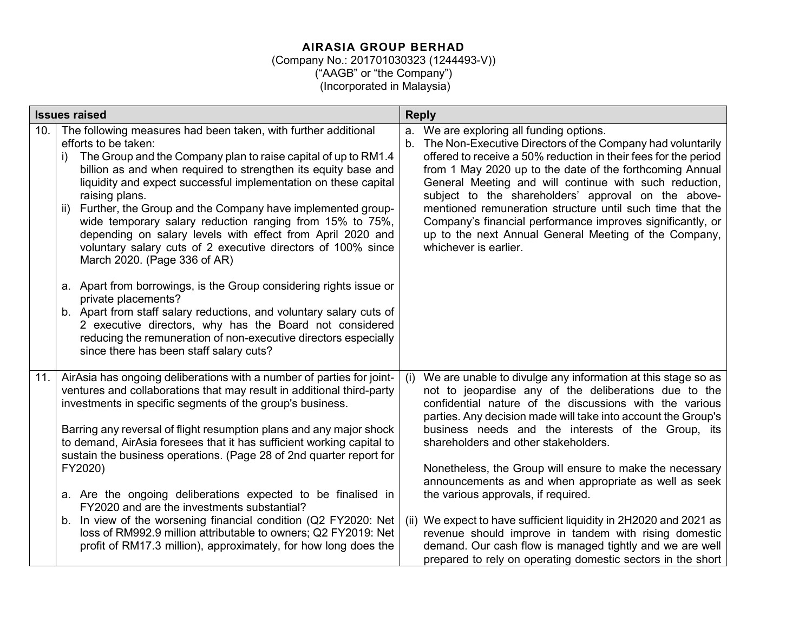| <b>Issues raised</b> |                                                                                                                                                                                                                                                                                                                                                                                                                                                                                                                                                                                                                                                                                                                                                                                                                                                                                                                                                                   | <b>Reply</b>                                                                                                                                                                                                                                                                                                                                                                                                                                                                                                                                                                                                                                                                                                                                                                |  |  |
|----------------------|-------------------------------------------------------------------------------------------------------------------------------------------------------------------------------------------------------------------------------------------------------------------------------------------------------------------------------------------------------------------------------------------------------------------------------------------------------------------------------------------------------------------------------------------------------------------------------------------------------------------------------------------------------------------------------------------------------------------------------------------------------------------------------------------------------------------------------------------------------------------------------------------------------------------------------------------------------------------|-----------------------------------------------------------------------------------------------------------------------------------------------------------------------------------------------------------------------------------------------------------------------------------------------------------------------------------------------------------------------------------------------------------------------------------------------------------------------------------------------------------------------------------------------------------------------------------------------------------------------------------------------------------------------------------------------------------------------------------------------------------------------------|--|--|
| 10.                  | The following measures had been taken, with further additional<br>efforts to be taken:<br>The Group and the Company plan to raise capital of up to RM1.4<br>i)<br>billion as and when required to strengthen its equity base and<br>liquidity and expect successful implementation on these capital<br>raising plans.<br>Further, the Group and the Company have implemented group-<br>ii)<br>wide temporary salary reduction ranging from 15% to 75%,<br>depending on salary levels with effect from April 2020 and<br>voluntary salary cuts of 2 executive directors of 100% since<br>March 2020. (Page 336 of AR)<br>a. Apart from borrowings, is the Group considering rights issue or<br>private placements?<br>b. Apart from staff salary reductions, and voluntary salary cuts of<br>2 executive directors, why has the Board not considered<br>reducing the remuneration of non-executive directors especially<br>since there has been staff salary cuts? | a. We are exploring all funding options.<br>The Non-Executive Directors of the Company had voluntarily<br>b.<br>offered to receive a 50% reduction in their fees for the period<br>from 1 May 2020 up to the date of the forthcoming Annual<br>General Meeting and will continue with such reduction,<br>subject to the shareholders' approval on the above-<br>mentioned remuneration structure until such time that the<br>Company's financial performance improves significantly, or<br>up to the next Annual General Meeting of the Company,<br>whichever is earlier.                                                                                                                                                                                                   |  |  |
| 11.                  | AirAsia has ongoing deliberations with a number of parties for joint-<br>ventures and collaborations that may result in additional third-party<br>investments in specific segments of the group's business.<br>Barring any reversal of flight resumption plans and any major shock<br>to demand, AirAsia foresees that it has sufficient working capital to<br>sustain the business operations. (Page 28 of 2nd quarter report for<br>FY2020)<br>a. Are the ongoing deliberations expected to be finalised in<br>FY2020 and are the investments substantial?<br>In view of the worsening financial condition (Q2 FY2020: Net<br>b.<br>loss of RM992.9 million attributable to owners; Q2 FY2019: Net<br>profit of RM17.3 million), approximately, for how long does the                                                                                                                                                                                           | We are unable to divulge any information at this stage so as<br>(i)<br>not to jeopardise any of the deliberations due to the<br>confidential nature of the discussions with the various<br>parties. Any decision made will take into account the Group's<br>business needs and the interests of the Group, its<br>shareholders and other stakeholders.<br>Nonetheless, the Group will ensure to make the necessary<br>announcements as and when appropriate as well as seek<br>the various approvals, if required.<br>(ii) We expect to have sufficient liquidity in 2H2020 and 2021 as<br>revenue should improve in tandem with rising domestic<br>demand. Our cash flow is managed tightly and we are well<br>prepared to rely on operating domestic sectors in the short |  |  |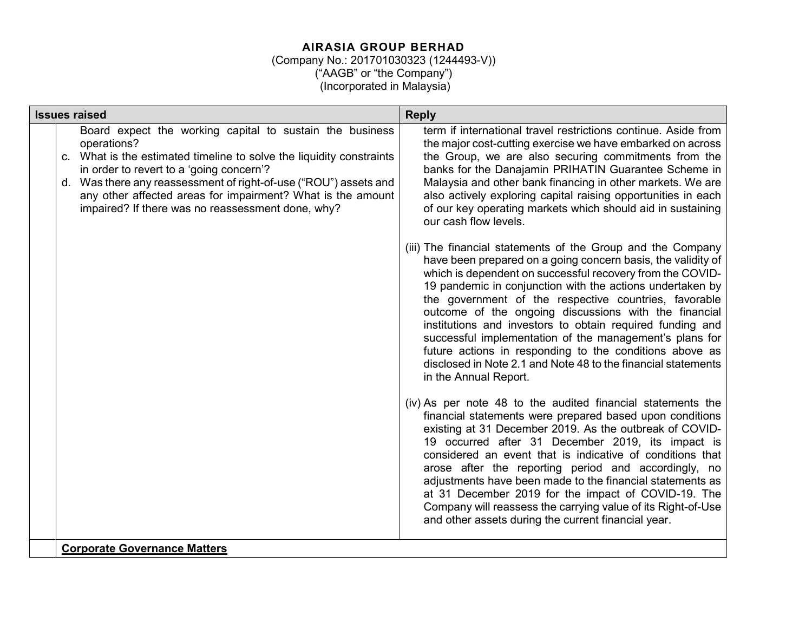| <b>Issues raised</b>                                                                                                                                                                                                                                                                                                                                                                | <b>Reply</b>                                                                                                                                                                                                                                                                                                                                                                                                                                                                                                                                                                                                                                                                                                                                                                                                                                                                                                                                                                                                                                                                                                                                                                                                                                                                                                                                                                                                                                                                                                                                                                                                                                                                                                                           |  |  |
|-------------------------------------------------------------------------------------------------------------------------------------------------------------------------------------------------------------------------------------------------------------------------------------------------------------------------------------------------------------------------------------|----------------------------------------------------------------------------------------------------------------------------------------------------------------------------------------------------------------------------------------------------------------------------------------------------------------------------------------------------------------------------------------------------------------------------------------------------------------------------------------------------------------------------------------------------------------------------------------------------------------------------------------------------------------------------------------------------------------------------------------------------------------------------------------------------------------------------------------------------------------------------------------------------------------------------------------------------------------------------------------------------------------------------------------------------------------------------------------------------------------------------------------------------------------------------------------------------------------------------------------------------------------------------------------------------------------------------------------------------------------------------------------------------------------------------------------------------------------------------------------------------------------------------------------------------------------------------------------------------------------------------------------------------------------------------------------------------------------------------------------|--|--|
| Board expect the working capital to sustain the business<br>operations?<br>c. What is the estimated timeline to solve the liquidity constraints<br>in order to revert to a 'going concern'?<br>d. Was there any reassessment of right-of-use ("ROU") assets and<br>any other affected areas for impairment? What is the amount<br>impaired? If there was no reassessment done, why? | term if international travel restrictions continue. Aside from<br>the major cost-cutting exercise we have embarked on across<br>the Group, we are also securing commitments from the<br>banks for the Danajamin PRIHATIN Guarantee Scheme in<br>Malaysia and other bank financing in other markets. We are<br>also actively exploring capital raising opportunities in each<br>of our key operating markets which should aid in sustaining<br>our cash flow levels.<br>(iii) The financial statements of the Group and the Company<br>have been prepared on a going concern basis, the validity of<br>which is dependent on successful recovery from the COVID-<br>19 pandemic in conjunction with the actions undertaken by<br>the government of the respective countries, favorable<br>outcome of the ongoing discussions with the financial<br>institutions and investors to obtain required funding and<br>successful implementation of the management's plans for<br>future actions in responding to the conditions above as<br>disclosed in Note 2.1 and Note 48 to the financial statements<br>in the Annual Report.<br>(iv) As per note 48 to the audited financial statements the<br>financial statements were prepared based upon conditions<br>existing at 31 December 2019. As the outbreak of COVID-<br>19 occurred after 31 December 2019, its impact is<br>considered an event that is indicative of conditions that<br>arose after the reporting period and accordingly, no<br>adjustments have been made to the financial statements as<br>at 31 December 2019 for the impact of COVID-19. The<br>Company will reassess the carrying value of its Right-of-Use<br>and other assets during the current financial year. |  |  |
| <b>Corporate Governance Matters</b>                                                                                                                                                                                                                                                                                                                                                 |                                                                                                                                                                                                                                                                                                                                                                                                                                                                                                                                                                                                                                                                                                                                                                                                                                                                                                                                                                                                                                                                                                                                                                                                                                                                                                                                                                                                                                                                                                                                                                                                                                                                                                                                        |  |  |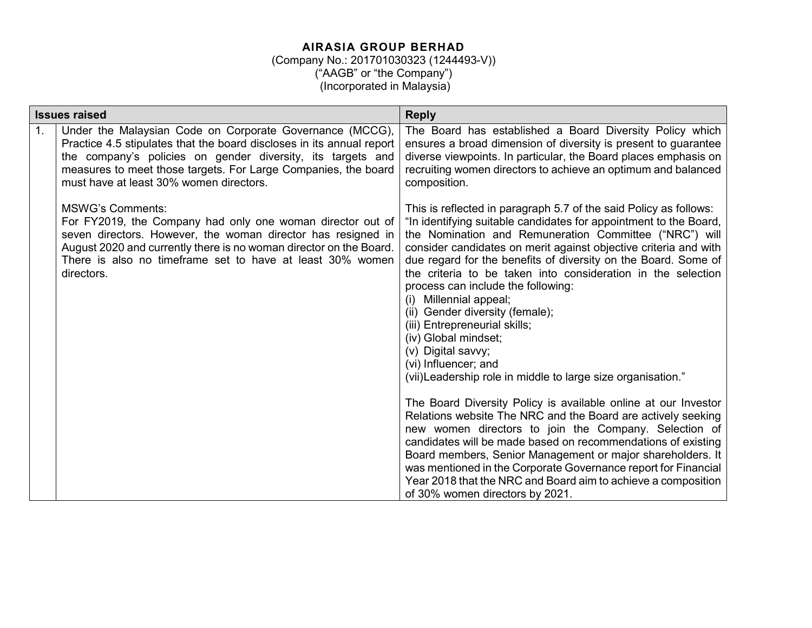| Under the Malaysian Code on Corporate Governance (MCCG),<br>1.<br>Practice 4.5 stipulates that the board discloses in its annual report<br>the company's policies on gender diversity, its targets and<br>measures to meet those targets. For Large Companies, the board<br>must have at least 30% women directors.<br>composition.<br><b>MSWG's Comments:</b><br>For FY2019, the Company had only one woman director out of<br>seven directors. However, the woman director has resigned in<br>August 2020 and currently there is no woman director on the Board.<br>There is also no timeframe set to have at least 30% women<br>directors.<br>process can include the following:<br>Millennial appeal;<br>(i)<br>(ii) Gender diversity (female);<br>(iii) Entrepreneurial skills;<br>(iv) Global mindset;<br>(v) Digital savvy;<br>(vi) Influencer; and<br>(vii) Leadership role in middle to large size organisation." | <b>Issues raised</b> | <b>Reply</b>                                                                                                                                                                                                                                                                                                                                                                                                                                                                                                                                                                                                                                                                                                                                                                                                                                                       |
|----------------------------------------------------------------------------------------------------------------------------------------------------------------------------------------------------------------------------------------------------------------------------------------------------------------------------------------------------------------------------------------------------------------------------------------------------------------------------------------------------------------------------------------------------------------------------------------------------------------------------------------------------------------------------------------------------------------------------------------------------------------------------------------------------------------------------------------------------------------------------------------------------------------------------|----------------------|--------------------------------------------------------------------------------------------------------------------------------------------------------------------------------------------------------------------------------------------------------------------------------------------------------------------------------------------------------------------------------------------------------------------------------------------------------------------------------------------------------------------------------------------------------------------------------------------------------------------------------------------------------------------------------------------------------------------------------------------------------------------------------------------------------------------------------------------------------------------|
|                                                                                                                                                                                                                                                                                                                                                                                                                                                                                                                                                                                                                                                                                                                                                                                                                                                                                                                            |                      | The Board has established a Board Diversity Policy which<br>ensures a broad dimension of diversity is present to guarantee<br>diverse viewpoints. In particular, the Board places emphasis on<br>recruiting women directors to achieve an optimum and balanced                                                                                                                                                                                                                                                                                                                                                                                                                                                                                                                                                                                                     |
|                                                                                                                                                                                                                                                                                                                                                                                                                                                                                                                                                                                                                                                                                                                                                                                                                                                                                                                            |                      | This is reflected in paragraph 5.7 of the said Policy as follows:<br>"In identifying suitable candidates for appointment to the Board,<br>the Nomination and Remuneration Committee ("NRC") will<br>consider candidates on merit against objective criteria and with<br>due regard for the benefits of diversity on the Board. Some of<br>the criteria to be taken into consideration in the selection<br>The Board Diversity Policy is available online at our Investor<br>Relations website The NRC and the Board are actively seeking<br>new women directors to join the Company. Selection of<br>candidates will be made based on recommendations of existing<br>Board members, Senior Management or major shareholders. It<br>was mentioned in the Corporate Governance report for Financial<br>Year 2018 that the NRC and Board aim to achieve a composition |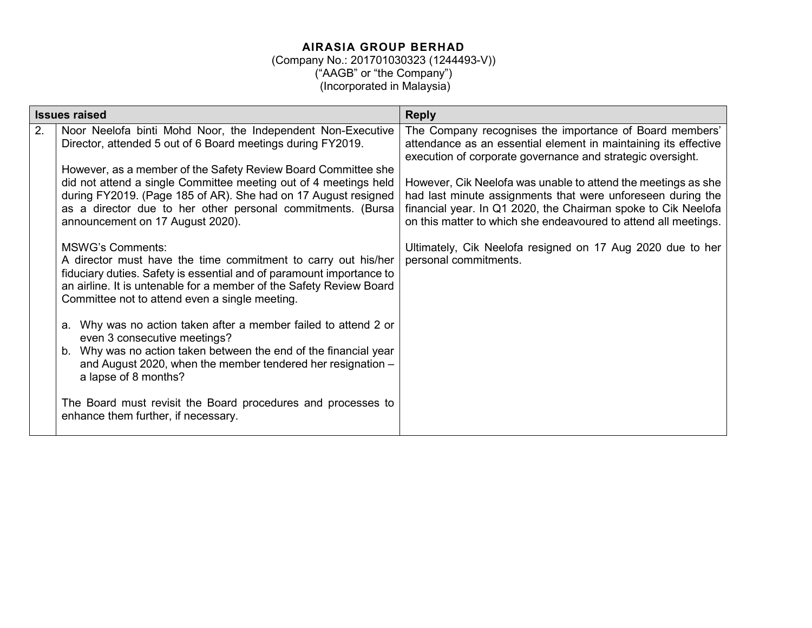|    | <b>Issues raised</b>                                                                                                                                                                                                                                                                                                                                                                                                                                                                                                                                                                                                                                                                                                                                                                                                                                                                                                                                                                                                                                            | <b>Reply</b>                                                                                                                                                                                                                                                                                                                                                                                                                                                                                                                                        |  |  |
|----|-----------------------------------------------------------------------------------------------------------------------------------------------------------------------------------------------------------------------------------------------------------------------------------------------------------------------------------------------------------------------------------------------------------------------------------------------------------------------------------------------------------------------------------------------------------------------------------------------------------------------------------------------------------------------------------------------------------------------------------------------------------------------------------------------------------------------------------------------------------------------------------------------------------------------------------------------------------------------------------------------------------------------------------------------------------------|-----------------------------------------------------------------------------------------------------------------------------------------------------------------------------------------------------------------------------------------------------------------------------------------------------------------------------------------------------------------------------------------------------------------------------------------------------------------------------------------------------------------------------------------------------|--|--|
| 2. | Noor Neelofa binti Mohd Noor, the Independent Non-Executive<br>Director, attended 5 out of 6 Board meetings during FY2019.<br>However, as a member of the Safety Review Board Committee she<br>did not attend a single Committee meeting out of 4 meetings held<br>during FY2019. (Page 185 of AR). She had on 17 August resigned<br>as a director due to her other personal commitments. (Bursa<br>announcement on 17 August 2020).<br><b>MSWG's Comments:</b><br>A director must have the time commitment to carry out his/her<br>fiduciary duties. Safety is essential and of paramount importance to<br>an airline. It is untenable for a member of the Safety Review Board<br>Committee not to attend even a single meeting.<br>a. Why was no action taken after a member failed to attend 2 or<br>even 3 consecutive meetings?<br>b. Why was no action taken between the end of the financial year<br>and August 2020, when the member tendered her resignation -<br>a lapse of 8 months?<br>The Board must revisit the Board procedures and processes to | The Company recognises the importance of Board members'<br>attendance as an essential element in maintaining its effective<br>execution of corporate governance and strategic oversight.<br>However, Cik Neelofa was unable to attend the meetings as she<br>had last minute assignments that were unforeseen during the<br>financial year. In Q1 2020, the Chairman spoke to Cik Neelofa<br>on this matter to which she endeavoured to attend all meetings.<br>Ultimately, Cik Neelofa resigned on 17 Aug 2020 due to her<br>personal commitments. |  |  |
|    | enhance them further, if necessary.                                                                                                                                                                                                                                                                                                                                                                                                                                                                                                                                                                                                                                                                                                                                                                                                                                                                                                                                                                                                                             |                                                                                                                                                                                                                                                                                                                                                                                                                                                                                                                                                     |  |  |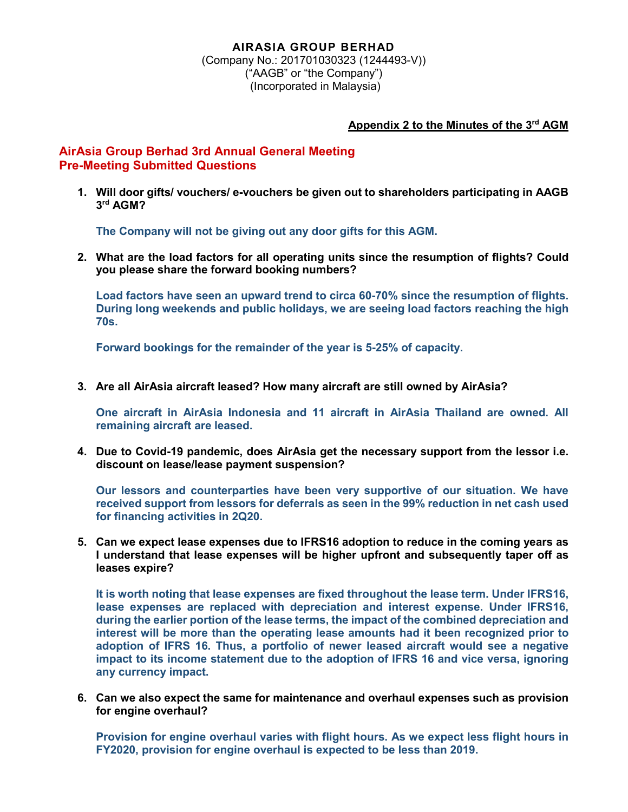(Company No.: 201701030323 (1244493-V)) ("AAGB" or "the Company") (Incorporated in Malaysia)

## **Appendix 2 to the Minutes of the 3rd AGM**

## **AirAsia Group Berhad 3rd Annual General Meeting Pre-Meeting Submitted Questions**

**1. Will door gifts/ vouchers/ e-vouchers be given out to shareholders participating in AAGB 3rd AGM?**

**The Company will not be giving out any door gifts for this AGM.**

**2. What are the load factors for all operating units since the resumption of flights? Could you please share the forward booking numbers?**

**Load factors have seen an upward trend to circa 60-70% since the resumption of flights. During long weekends and public holidays, we are seeing load factors reaching the high 70s.**

**Forward bookings for the remainder of the year is 5-25% of capacity.**

**3. Are all AirAsia aircraft leased? How many aircraft are still owned by AirAsia?**

**One aircraft in AirAsia Indonesia and 11 aircraft in AirAsia Thailand are owned. All remaining aircraft are leased.**

**4. Due to Covid-19 pandemic, does AirAsia get the necessary support from the lessor i.e. discount on lease/lease payment suspension?**

**Our lessors and counterparties have been very supportive of our situation. We have received support from lessors for deferrals as seen in the 99% reduction in net cash used for financing activities in 2Q20.**

**5. Can we expect lease expenses due to IFRS16 adoption to reduce in the coming years as I understand that lease expenses will be higher upfront and subsequently taper off as leases expire?**

**It is worth noting that lease expenses are fixed throughout the lease term. Under IFRS16, lease expenses are replaced with depreciation and interest expense. Under IFRS16, during the earlier portion of the lease terms, the impact of the combined depreciation and interest will be more than the operating lease amounts had it been recognized prior to adoption of IFRS 16. Thus, a portfolio of newer leased aircraft would see a negative impact to its income statement due to the adoption of IFRS 16 and vice versa, ignoring any currency impact.**

**6. Can we also expect the same for maintenance and overhaul expenses such as provision for engine overhaul?**

**Provision for engine overhaul varies with flight hours. As we expect less flight hours in FY2020, provision for engine overhaul is expected to be less than 2019.**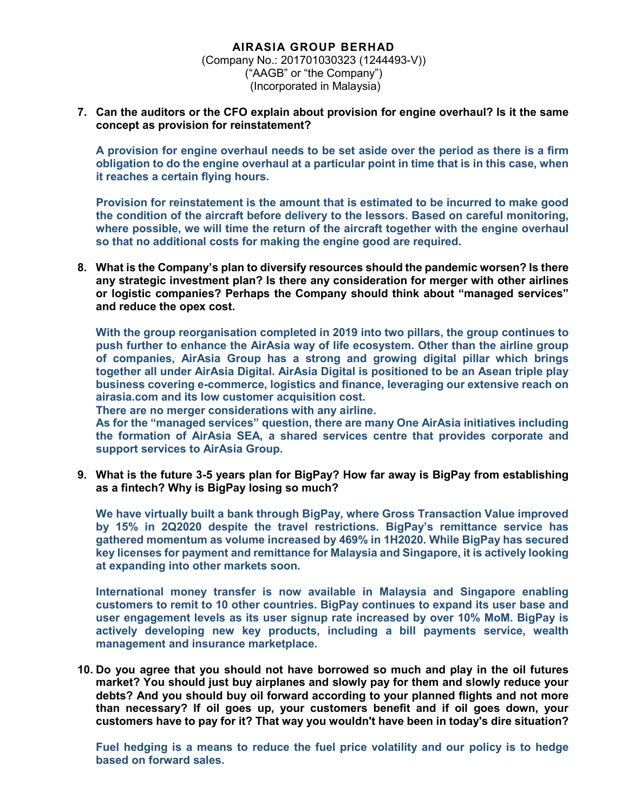**7. Can the auditors or the CFO explain about provision for engine overhaul? Is it the same concept as provision for reinstatement?**

**A provision for engine overhaul needs to be set aside over the period as there is a firm obligation to do the engine overhaul at a particular point in time that is in this case, when it reaches a certain flying hours.**

**Provision for reinstatement is the amount that is estimated to be incurred to make good the condition of the aircraft before delivery to the lessors. Based on careful monitoring, where possible, we will time the return of the aircraft together with the engine overhaul so that no additional costs for making the engine good are required.**

**8. What is the Company's plan to diversify resources should the pandemic worsen? Is there any strategic investment plan? Is there any consideration for merger with other airlines or logistic companies? Perhaps the Company should think about "managed services" and reduce the opex cost.**

**With the group reorganisation completed in 2019 into two pillars, the group continues to push further to enhance the AirAsia way of life ecosystem. Other than the airline group of companies, AirAsia Group has a strong and growing digital pillar which brings together all under AirAsia Digital. AirAsia Digital is positioned to be an Asean triple play business covering e-commerce, logistics and finance, leveraging our extensive reach on airasia.com and its low customer acquisition cost.**

**There are no merger considerations with any airline.**

**As for the "managed services" question, there are many One AirAsia initiatives including the formation of AirAsia SEA, a shared services centre that provides corporate and support services to AirAsia Group.**

**9. What is the future 3-5 years plan for BigPay? How far away is BigPay from establishing as a fintech? Why is BigPay losing so much?**

**We have virtually built a bank through BigPay, where Gross Transaction Value improved by 15% in 2Q2020 despite the travel restrictions. BigPay's remittance service has gathered momentum as volume increased by 469% in 1H2020. While BigPay has secured key licenses for payment and remittance for Malaysia and Singapore, it is actively looking at expanding into other markets soon.**

**International money transfer is now available in Malaysia and Singapore enabling customers to remit to 10 other countries. BigPay continues to expand its user base and user engagement levels as its user signup rate increased by over 10% MoM. BigPay is actively developing new key products, including a bill payments service, wealth management and insurance marketplace.**

**10. Do you agree that you should not have borrowed so much and play in the oil futures market? You should just buy airplanes and slowly pay for them and slowly reduce your debts? And you should buy oil forward according to your planned flights and not more than necessary? If oil goes up, your customers benefit and if oil goes down, your customers have to pay for it? That way you wouldn't have been in today's dire situation?**

**Fuel hedging is a means to reduce the fuel price volatility and our policy is to hedge based on forward sales.**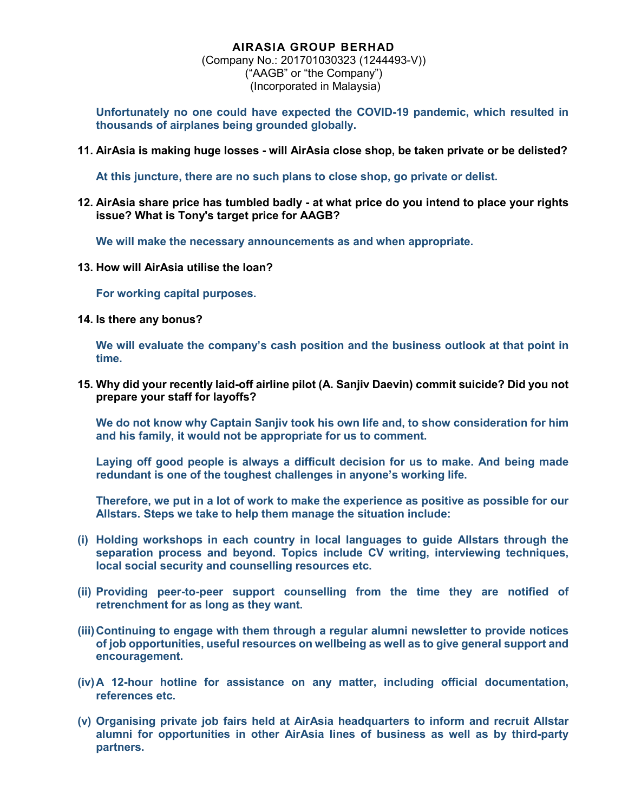(Company No.: 201701030323 (1244493-V)) ("AAGB" or "the Company") (Incorporated in Malaysia)

**Unfortunately no one could have expected the COVID-19 pandemic, which resulted in thousands of airplanes being grounded globally.**

**11. AirAsia is making huge losses - will AirAsia close shop, be taken private or be delisted?**

**At this juncture, there are no such plans to close shop, go private or delist.**

**12. AirAsia share price has tumbled badly - at what price do you intend to place your rights issue? What is Tony's target price for AAGB?**

**We will make the necessary announcements as and when appropriate.**

**13. How will AirAsia utilise the loan?**

**For working capital purposes.**

**14. Is there any bonus?**

**We will evaluate the company's cash position and the business outlook at that point in time.**

**15. Why did your recently laid-off airline pilot (A. Sanjiv Daevin) commit suicide? Did you not prepare your staff for layoffs?**

**We do not know why Captain Sanjiv took his own life and, to show consideration for him and his family, it would not be appropriate for us to comment.**

**Laying off good people is always a difficult decision for us to make. And being made redundant is one of the toughest challenges in anyone's working life.**

**Therefore, we put in a lot of work to make the experience as positive as possible for our Allstars. Steps we take to help them manage the situation include:**

- **(i) Holding workshops in each country in local languages to guide Allstars through the separation process and beyond. Topics include CV writing, interviewing techniques, local social security and counselling resources etc.**
- **(ii) Providing peer-to-peer support counselling from the time they are notified of retrenchment for as long as they want.**
- **(iii)Continuing to engage with them through a regular alumni newsletter to provide notices of job opportunities, useful resources on wellbeing as well as to give general support and encouragement.**
- **(iv)A 12-hour hotline for assistance on any matter, including official documentation, references etc.**
- **(v) Organising private job fairs held at AirAsia headquarters to inform and recruit Allstar alumni for opportunities in other AirAsia lines of business as well as by third-party partners.**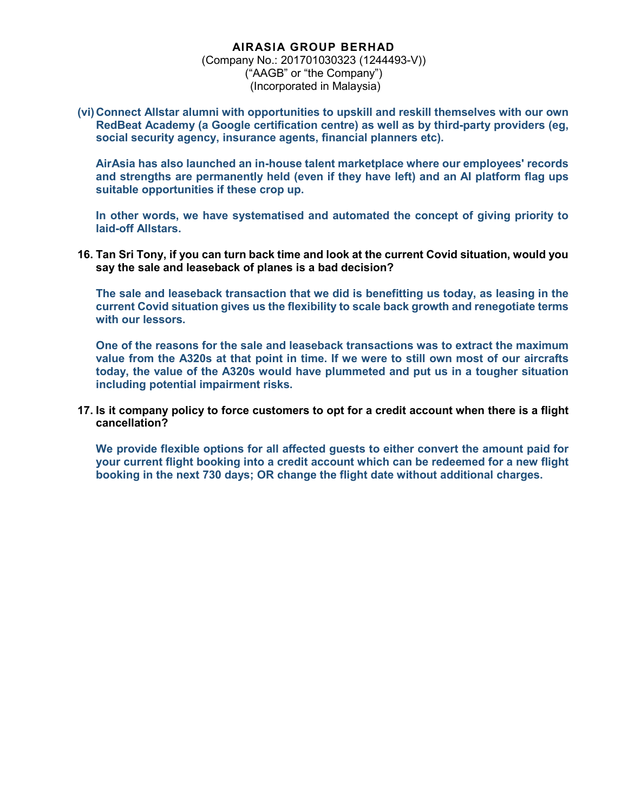(Company No.: 201701030323 (1244493-V)) ("AAGB" or "the Company") (Incorporated in Malaysia)

**(vi)Connect Allstar alumni with opportunities to upskill and reskill themselves with our own RedBeat Academy (a Google certification centre) as well as by third-party providers (eg, social security agency, insurance agents, financial planners etc).**

**AirAsia has also launched an in-house talent marketplace where our employees' records and strengths are permanently held (even if they have left) and an AI platform flag ups suitable opportunities if these crop up.**

**In other words, we have systematised and automated the concept of giving priority to laid-off Allstars.**

**16. Tan Sri Tony, if you can turn back time and look at the current Covid situation, would you say the sale and leaseback of planes is a bad decision?**

**The sale and leaseback transaction that we did is benefitting us today, as leasing in the current Covid situation gives us the flexibility to scale back growth and renegotiate terms with our lessors.**

**One of the reasons for the sale and leaseback transactions was to extract the maximum value from the A320s at that point in time. If we were to still own most of our aircrafts today, the value of the A320s would have plummeted and put us in a tougher situation including potential impairment risks.**

**17. Is it company policy to force customers to opt for a credit account when there is a flight cancellation?**

**We provide flexible options for all affected guests to either convert the amount paid for your current flight booking into a credit account which can be redeemed for a new flight booking in the next 730 days; OR change the flight date without additional charges.**